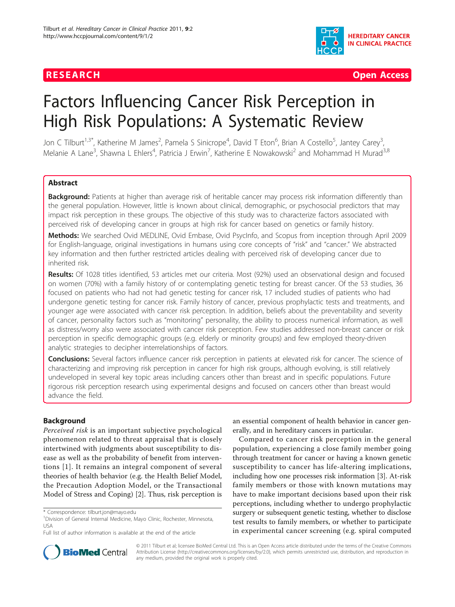

**RESEARCH Open Access** 

# Factors Influencing Cancer Risk Perception in High Risk Populations: A Systematic Review

Jon C Tilburt<sup>1,3\*</sup>, Katherine M James<sup>2</sup>, Pamela S Sinicrope<sup>4</sup>, David T Eton<sup>6</sup>, Brian A Costello<sup>5</sup>, Jantey Carey<sup>3</sup> , Melanie A Lane<sup>3</sup>, Shawna L Ehlers<sup>4</sup>, Patricia J Erwin<sup>7</sup>, Katherine E Nowakowski<sup>2</sup> and Mohammad H Murad<sup>3,8</sup>

# **Abstract**

Background: Patients at higher than average risk of heritable cancer may process risk information differently than the general population. However, little is known about clinical, demographic, or psychosocial predictors that may impact risk perception in these groups. The objective of this study was to characterize factors associated with perceived risk of developing cancer in groups at high risk for cancer based on genetics or family history.

Methods: We searched Ovid MEDLINE, Ovid Embase, Ovid PsycInfo, and Scopus from inception through April 2009 for English-language, original investigations in humans using core concepts of "risk" and "cancer." We abstracted key information and then further restricted articles dealing with perceived risk of developing cancer due to inherited risk.

Results: Of 1028 titles identified, 53 articles met our criteria. Most (92%) used an observational design and focused on women (70%) with a family history of or contemplating genetic testing for breast cancer. Of the 53 studies, 36 focused on patients who had not had genetic testing for cancer risk, 17 included studies of patients who had undergone genetic testing for cancer risk. Family history of cancer, previous prophylactic tests and treatments, and younger age were associated with cancer risk perception. In addition, beliefs about the preventability and severity of cancer, personality factors such as "monitoring" personality, the ability to process numerical information, as well as distress/worry also were associated with cancer risk perception. Few studies addressed non-breast cancer or risk perception in specific demographic groups (e.g. elderly or minority groups) and few employed theory-driven analytic strategies to decipher interrelationships of factors.

**Conclusions:** Several factors influence cancer risk perception in patients at elevated risk for cancer. The science of characterizing and improving risk perception in cancer for high risk groups, although evolving, is still relatively undeveloped in several key topic areas including cancers other than breast and in specific populations. Future rigorous risk perception research using experimental designs and focused on cancers other than breast would advance the field.

# Background

Perceived risk is an important subjective psychological phenomenon related to threat appraisal that is closely intertwined with judgments about susceptibility to disease as well as the probability of benefit from interventions [[1](#page-13-0)]. It remains an integral component of several theories of health behavior (e.g. the Health Belief Model, the Precaution Adoption Model, or the Transactional Model of Stress and Coping) [[2](#page-13-0)]. Thus, risk perception is

an essential component of health behavior in cancer generally, and in hereditary cancers in particular.

Compared to cancer risk perception in the general population, experiencing a close family member going through treatment for cancer or having a known genetic susceptibility to cancer has life-altering implications, including how one processes risk information [[3\]](#page-13-0). At-risk family members or those with known mutations may have to make important decisions based upon their risk perceptions, including whether to undergo prophylactic surgery or subsequent genetic testing, whether to disclose test results to family members, or whether to participate in experimental cancer screening (e.g. spiral computed



© 2011 Tilburt et al; licensee BioMed Central Ltd. This is an Open Access article distributed under the terms of the Creative Commons Attribution License [\(http://creativecommons.org/licenses/by/2.0](http://creativecommons.org/licenses/by/2.0)), which permits unrestricted use, distribution, and reproduction in any medium, provided the original work is properly cited.

<sup>\*</sup> Correspondence: [tilburt.jon@mayo.edu](mailto:tilburt.jon@mayo.edu)

<sup>&</sup>lt;sup>1</sup> Division of General Internal Medicine, Mayo Clinic, Rochester, Minnesota, USA

Full list of author information is available at the end of the article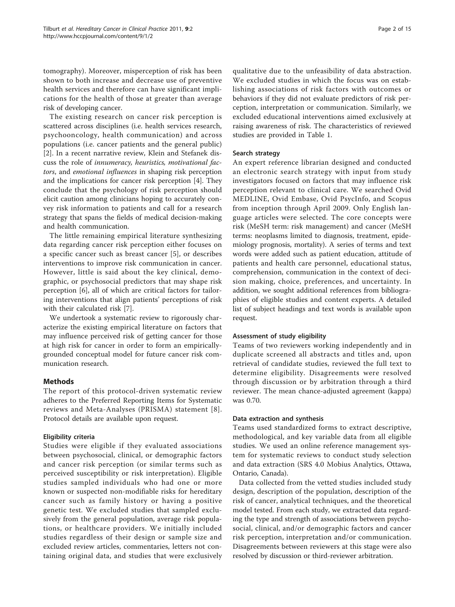tomography). Moreover, misperception of risk has been shown to both increase and decrease use of preventive health services and therefore can have significant implications for the health of those at greater than average risk of developing cancer.

The existing research on cancer risk perception is scattered across disciplines (i.e. health services research, psychooncology, health communication) and across populations (i.e. cancer patients and the general public) [[2\]](#page-13-0). In a recent narrative review, Klein and Stefanek discuss the role of innumeracy, heuristics, motivational factors, and emotional influences in shaping risk perception and the implications for cancer risk perception [[4](#page-13-0)]. They conclude that the psychology of risk perception should elicit caution among clinicians hoping to accurately convey risk information to patients and call for a research strategy that spans the fields of medical decision-making and health communication.

The little remaining empirical literature synthesizing data regarding cancer risk perception either focuses on a specific cancer such as breast cancer [\[5](#page-13-0)], or describes interventions to improve risk communication in cancer. However, little is said about the key clinical, demographic, or psychosocial predictors that may shape risk perception [[6\]](#page-13-0), all of which are critical factors for tailoring interventions that align patients' perceptions of risk with their calculated risk [\[7\]](#page-13-0).

We undertook a systematic review to rigorously characterize the existing empirical literature on factors that may influence perceived risk of getting cancer for those at high risk for cancer in order to form an empiricallygrounded conceptual model for future cancer risk communication research.

#### Methods

The report of this protocol-driven systematic review adheres to the Preferred Reporting Items for Systematic reviews and Meta-Analyses (PRISMA) statement [[8\]](#page-13-0). Protocol details are available upon request.

#### Eligibility criteria

Studies were eligible if they evaluated associations between psychosocial, clinical, or demographic factors and cancer risk perception (or similar terms such as perceived susceptibility or risk interpretation). Eligible studies sampled individuals who had one or more known or suspected non-modifiable risks for hereditary cancer such as family history or having a positive genetic test. We excluded studies that sampled exclusively from the general population, average risk populations, or healthcare providers. We initially included studies regardless of their design or sample size and excluded review articles, commentaries, letters not containing original data, and studies that were exclusively

qualitative due to the unfeasibility of data abstraction. We excluded studies in which the focus was on establishing associations of risk factors with outcomes or behaviors if they did not evaluate predictors of risk perception, interpretation or communication. Similarly, we excluded educational interventions aimed exclusively at raising awareness of risk. The characteristics of reviewed studies are provided in Table [1.](#page-2-0)

#### Search strategy

An expert reference librarian designed and conducted an electronic search strategy with input from study investigators focused on factors that may influence risk perception relevant to clinical care. We searched Ovid MEDLINE, Ovid Embase, Ovid PsycInfo, and Scopus from inception through April 2009. Only English language articles were selected. The core concepts were risk (MeSH term: risk management) and cancer (MeSH terms: neoplasms limited to diagnosis, treatment, epidemiology prognosis, mortality). A series of terms and text words were added such as patient education, attitude of patients and health care personnel, educational status, comprehension, communication in the context of decision making, choice, preferences, and uncertainty. In addition, we sought additional references from bibliographies of eligible studies and content experts. A detailed list of subject headings and text words is available upon request.

#### Assessment of study eligibility

Teams of two reviewers working independently and in duplicate screened all abstracts and titles and, upon retrieval of candidate studies, reviewed the full text to determine eligibility. Disagreements were resolved through discussion or by arbitration through a third reviewer. The mean chance-adjusted agreement (kappa) was 0.70.

#### Data extraction and synthesis

Teams used standardized forms to extract descriptive, methodological, and key variable data from all eligible studies. We used an online reference management system for systematic reviews to conduct study selection and data extraction (SRS 4.0 Mobius Analytics, Ottawa, Ontario, Canada).

Data collected from the vetted studies included study design, description of the population, description of the risk of cancer, analytical techniques, and the theoretical model tested. From each study, we extracted data regarding the type and strength of associations between psychosocial, clinical, and/or demographic factors and cancer risk perception, interpretation and/or communication. Disagreements between reviewers at this stage were also resolved by discussion or third-reviewer arbitration.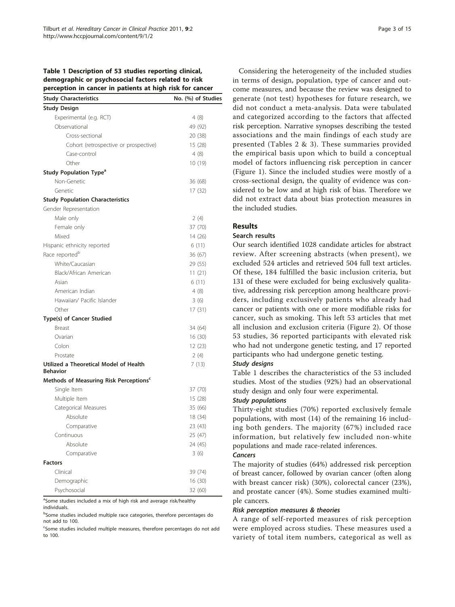<span id="page-2-0"></span>Table 1 Description of 53 studies reporting clinical, demographic or psychosocial factors related to risk perception in cancer in patients at high risk for cancer

| <b>Study Characteristics</b>                              | No. (%) of Studies |
|-----------------------------------------------------------|--------------------|
| <b>Study Design</b>                                       |                    |
| Experimental (e.g. RCT)                                   | 4(8)               |
| Observational                                             | 49 (92)            |
| Cross-sectional                                           | 20 (38)            |
| Cohort (retrospective or prospective)                     | 15(28)             |
| Case-control                                              | 4(8)               |
| Other                                                     | 10(19)             |
| <b>Study Population Type<sup>a</sup></b>                  |                    |
| Non-Genetic                                               | 36 (68)            |
| Genetic                                                   | 17(32)             |
| <b>Study Population Characteristics</b>                   |                    |
| Gender Representation                                     |                    |
| Male only                                                 | 2(4)               |
| Female only                                               | 37 (70)            |
| Mixed                                                     | 14(26)             |
| Hispanic ethnicity reported                               | 6(11)              |
| Race reported <sup>b</sup>                                | 36 (67)            |
| White/Caucasian                                           | 29 (55)            |
| Black/African American                                    | 11(21)             |
| Asian                                                     | 6(11)              |
| American Indian                                           | 4(8)               |
| Hawaiian/ Pacific Islander                                | 3(6)               |
| Other                                                     | 17(31)             |
| Type(s) of Cancer Studied                                 |                    |
| Breast                                                    | 34 (64)            |
| Ovarian                                                   | 16(30)             |
| Colon                                                     | 12 (23)            |
| Prostate                                                  | 2(4)               |
| Utilized a Theoretical Model of Health<br><b>Behavior</b> | 7(13)              |
| Methods of Measuring Risk Perceptions <sup>c</sup>        |                    |
| Single Item                                               | 37 (70)            |
| Multiple Item                                             | 15(28)             |
| Categorical Measures                                      | 35 (66)            |
| Absolute                                                  | 18 (34)            |
| Comparative                                               | 23 (43)            |
| Continuous                                                | 25 (47)            |
| Absolute                                                  | 24 (45)            |
| Comparative                                               | 3(6)               |
| <b>Factors</b>                                            |                    |
| Clinical                                                  | 39 (74)            |
| Demographic                                               | 16 (30)            |
| Psychosocial                                              | 32 (60)            |

<sup>a</sup>Some studies included a mix of high risk and average risk/healthy individuals.

<sup>b</sup>Some studies included multiple race categories, therefore percentages do not add to 100.

<sup>c</sup>Some studies included multiple measures, therefore percentages do not add to 100.

Considering the heterogeneity of the included studies in terms of design, population, type of cancer and outcome measures, and because the review was designed to generate (not test) hypotheses for future research, we did not conduct a meta-analysis. Data were tabulated and categorized according to the factors that affected risk perception. Narrative synopses describing the tested associations and the main findings of each study are presented (Tables [2](#page-3-0) & [3](#page-8-0)). These summaries provided the empirical basis upon which to build a conceptual model of factors influencing risk perception in cancer (Figure [1](#page-10-0)). Since the included studies were mostly of a cross-sectional design, the quality of evidence was considered to be low and at high risk of bias. Therefore we did not extract data about bias protection measures in the included studies.

#### Results

#### Search results

Our search identified 1028 candidate articles for abstract review. After screening abstracts (when present), we excluded 524 articles and retrieved 504 full text articles. Of these, 184 fulfilled the basic inclusion criteria, but 131 of these were excluded for being exclusively qualitative, addressing risk perception among healthcare providers, including exclusively patients who already had cancer or patients with one or more modifiable risks for cancer, such as smoking. This left 53 articles that met all inclusion and exclusion criteria (Figure [2](#page-10-0)). Of those 53 studies, 36 reported participants with elevated risk who had not undergone genetic testing, and 17 reported participants who had undergone genetic testing.

#### Study designs

Table 1 describes the characteristics of the 53 included studies. Most of the studies (92%) had an observational study design and only four were experimental.

#### Study populations

Thirty-eight studies (70%) reported exclusively female populations, with most (14) of the remaining 16 including both genders. The majority (67%) included race information, but relatively few included non-white populations and made race-related inferences.

#### Cancers

The majority of studies (64%) addressed risk perception of breast cancer, followed by ovarian cancer (often along with breast cancer risk) (30%), colorectal cancer (23%), and prostate cancer (4%). Some studies examined multiple cancers.

#### Risk perception measures & theories

A range of self-reported measures of risk perception were employed across studies. These measures used a variety of total item numbers, categorical as well as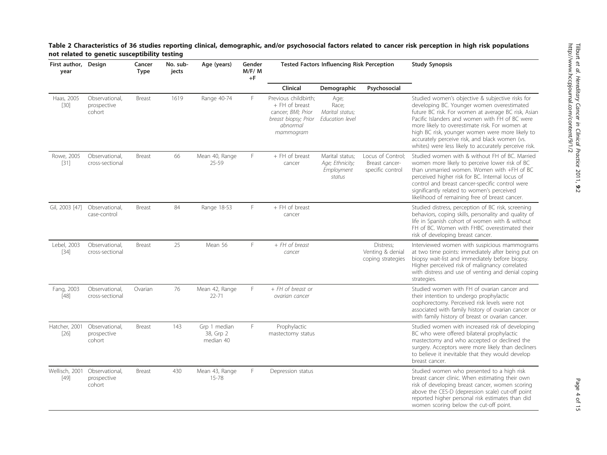<span id="page-3-0"></span>

| First author, Design<br>year |                                         | Cancer<br><b>Type</b> | No. sub-<br>jects | Age (years)                            | Gender<br>M/F/M<br>$+F$ |                                                                                                               | <b>Tested Factors Influencing Risk Perception</b>          |                                                         | <b>Study Synopsis</b>                                                                                                                                                                                                                                                                                                                                                                                                   |  |
|------------------------------|-----------------------------------------|-----------------------|-------------------|----------------------------------------|-------------------------|---------------------------------------------------------------------------------------------------------------|------------------------------------------------------------|---------------------------------------------------------|-------------------------------------------------------------------------------------------------------------------------------------------------------------------------------------------------------------------------------------------------------------------------------------------------------------------------------------------------------------------------------------------------------------------------|--|
|                              |                                         |                       |                   |                                        |                         | Clinical                                                                                                      | Demographic                                                | Psychosocial                                            |                                                                                                                                                                                                                                                                                                                                                                                                                         |  |
| Haas, 2005<br>$[30]$         | Observational.<br>prospective<br>cohort | Breast                | 1619              | Range 40-74                            | F.                      | Previous childbirth;<br>+ FH of breast<br>cancer; BMI; Prior<br>breast biopsy; Prior<br>abnormal<br>mammogram | Age;<br>Race;<br>Marital status:<br>Education level        |                                                         | Studied women's objective & subjective risks for<br>developing BC. Younger women overestimated<br>future BC risk. For women at average BC risk, Asian<br>Pacific Islanders and women with FH of BC were<br>more likely to overestimate risk. For women at<br>high BC risk, younger women were more likely to<br>accurately perceive risk, and black women (vs.<br>whites) were less likely to accurately perceive risk. |  |
| Rowe, 2005<br>$[31]$         | Observational,<br>cross-sectional       | Breast                | 66                | Mean 40, Range<br>25-59                | F                       | + FH of breast<br>cancer                                                                                      | Marital status;<br>Age; Ethnicity;<br>Employment<br>status | Locus of Control;<br>Breast cancer-<br>specific control | Studied women with & without FH of BC. Married<br>women more likely to perceive lower risk of BC<br>than unmarried women. Women with +FH of BC<br>perceived higher risk for BC. Internal locus of<br>control and breast cancer-specific control were<br>significantly related to women's perceived<br>likelihood of remaining free of breast cancer.                                                                    |  |
| Gil, 2003 [47]               | Observational,<br>case-control          | Breast                | 84                | Range 18-53                            | F.                      | + FH of breast<br>cancer                                                                                      |                                                            |                                                         | Studied distress, perception of BC risk, screening<br>behaviors, coping skills, personality and quality of<br>life in Spanish cohort of women with & without<br>FH of BC. Women with FHBC overestimated their<br>risk of developing breast cancer.                                                                                                                                                                      |  |
| Lebel, 2003<br>$[34]$        | Observational,<br>cross-sectional       | <b>Breast</b>         | 25                | Mean 56                                | F                       | + FH of breast<br>cancer                                                                                      |                                                            | Distress;<br>Venting & denial<br>coping strategies      | Interviewed women with suspicious mammograms<br>at two time points: immediately after being put on<br>biopsy wait-list and immediately before biopsy.<br>Higher perceived risk of malignancy correlated<br>with distress and use of venting and denial coping<br>strategies.                                                                                                                                            |  |
| Fang, 2003<br>$[48]$         | Observational,<br>cross-sectional       | Ovarian               | 76                | Mean 42, Range<br>22-71                | F.                      | + FH of breast or<br>ovarian cancer                                                                           |                                                            |                                                         | Studied women with FH of ovarian cancer and<br>their intention to undergo prophylactic<br>oophorectomy. Perceived risk levels were not<br>associated with family history of ovarian cancer or<br>with family history of breast or ovarian cancer.                                                                                                                                                                       |  |
| Hatcher, 2001<br>[26]        | Observational,<br>prospective<br>cohort | Breast                | 143               | Grp 1 median<br>38, Grp 2<br>median 40 | F.                      | Prophylactic<br>mastectomy status                                                                             |                                                            |                                                         | Studied women with increased risk of developing<br>BC who were offered bilateral prophylactic<br>mastectomy and who accepted or declined the<br>surgery. Acceptors were more likely than decliners<br>to believe it inevitable that they would develop<br>breast cancer.                                                                                                                                                |  |
| Wellisch, 2001<br>$[49]$     | Observational,<br>prospective<br>cohort | <b>Breast</b>         | 430               | Mean 43, Range<br>$15 - 78$            | F.                      | Depression status                                                                                             |                                                            |                                                         | Studied women who presented to a high risk<br>breast cancer clinic. When estimating their own<br>risk of developing breast cancer, women scoring<br>above the CES-D (depression scale) cut-off point<br>reported higher personal risk estimates than did<br>women scoring below the cut-off point.                                                                                                                      |  |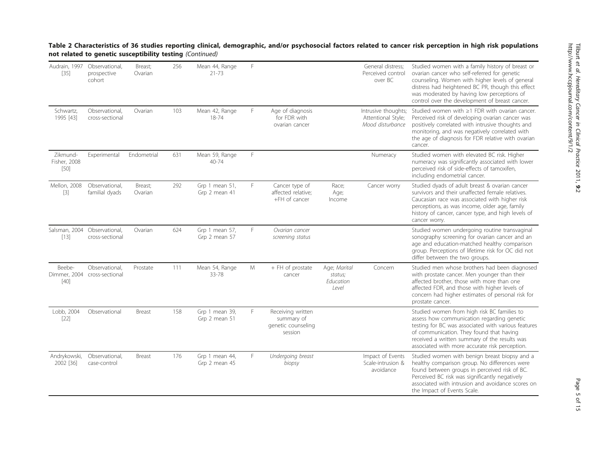| $[35]$                                 | Audrain, 1997 Observational,<br>prospective<br>cohort | Breast;<br>Ovarian | 256 | Mean 44, Range<br>$21 - 73$     | F  |                                                                  |                                               | General distress;<br>Perceived control<br>over BC             | Studied women with a family history of breast or<br>ovarian cancer who self-referred for genetic<br>counseling. Women with higher levels of general<br>distress had heightened BC PR, though this effect<br>was moderated by having low perceptions of<br>control over the development of breast cancer. |
|----------------------------------------|-------------------------------------------------------|--------------------|-----|---------------------------------|----|------------------------------------------------------------------|-----------------------------------------------|---------------------------------------------------------------|----------------------------------------------------------------------------------------------------------------------------------------------------------------------------------------------------------------------------------------------------------------------------------------------------------|
| Schwartz,<br>1995 [43]                 | Observational,<br>cross-sectional                     | Ovarian            | 103 | Mean 42, Range<br>18-74         | F. | Age of diagnosis<br>for FDR with<br>ovarian cancer               |                                               | Intrusive thoughts;<br>Attentional Style;<br>Mood disturbance | Studied women with $\geq 1$ FDR with ovarian cancer.<br>Perceived risk of developing ovarian cancer was<br>positively correlated with intrusive thoughts and<br>monitoring, and was negatively correlated with<br>the age of diagnosis for FDR relative with ovarian<br>cancer.                          |
| Zikmund-<br>Fisher, 2008<br>$[50]$     | Experimental                                          | Endometrial        | 631 | Mean 59, Range<br>$40 - 74$     | F. |                                                                  |                                               | Numeracy                                                      | Studied women with elevated BC risk. Higher<br>numeracy was significantly associated with lower<br>perceived risk of side-effects of tamoxifen,<br>including endometrial cancer.                                                                                                                         |
| Mellon, 2008<br>$[3]$                  | Observational.<br>familial dyads                      | Breast:<br>Ovarian | 292 | Grp 1 mean 51,<br>Grp 2 mean 41 | F. | Cancer type of<br>affected relative:<br>+FH of cancer            | Race;<br>Age;<br>Income                       | Cancer worry                                                  | Studied dyads of adult breast & ovarian cancer<br>survivors and their unaffected female relatives.<br>Caucasian race was associated with higher risk<br>perceptions, as was income, older age, family<br>history of cancer, cancer type, and high levels of<br>cancer worry.                             |
| Salsman, 2004 Observational,<br>$[13]$ | cross-sectional                                       | Ovarian            | 624 | Grp 1 mean 57,<br>Grp 2 mean 57 | F. | Ovarian cancer<br>screening status                               |                                               |                                                               | Studied women undergoing routine transvaginal<br>sonography screening for ovarian cancer and an<br>age and education-matched healthy comparison<br>group. Perceptions of lifetime risk for OC did not<br>differ between the two groups.                                                                  |
| Beebe-<br>$[40]$                       | Observational,<br>Dimmer, 2004 cross-sectional        | Prostate           | 111 | Mean 54, Range<br>33-78         | M  | + FH of prostate<br>cancer                                       | Age; Marital<br>status;<br>Education<br>Level | Concern                                                       | Studied men whose brothers had been diagnosed<br>with prostate cancer. Men younger than their<br>affected brother, those with more than one<br>affected FDR, and those with higher levels of<br>concern had higher estimates of personal risk for<br>prostate cancer.                                    |
| Lobb. 2004<br>$[22]$                   | Observational                                         | Breast             | 158 | Grp 1 mean 39,<br>Grp 2 mean 51 | F. | Receiving written<br>summary of<br>genetic counseling<br>session |                                               |                                                               | Studied women from high risk BC families to<br>assess how communication regarding genetic<br>testing for BC was associated with various features<br>of communication. They found that having<br>received a written summary of the results was<br>associated with more accurate risk perception.          |
| Andrykowski,<br>2002 [36]              | Observational.<br>case-control                        | Breast             | 176 | Grp 1 mean 44,<br>Grp 2 mean 45 | F. | Undergoing breast<br>biopsy                                      |                                               | Impact of Events<br>Scale-intrusion &<br>avoidance            | Studied women with benign breast biopsy and a<br>healthy comparison group. No differences were<br>found between groups in perceived risk of BC.<br>Perceived BC risk was significantly negatively<br>associated with intrusion and avoidance scores on<br>the Impact of Events Scale.                    |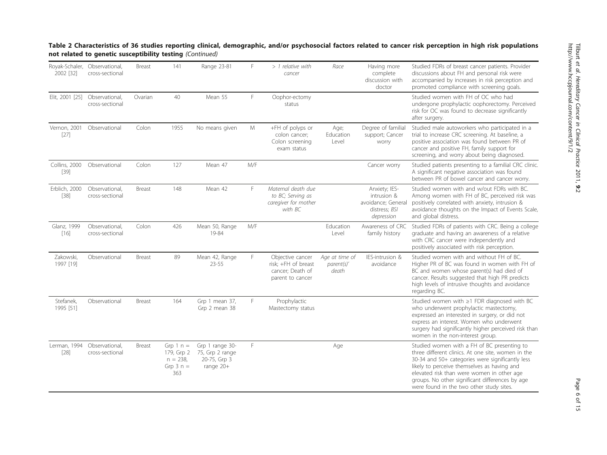| 2002 [32]               | Royak-Schaler, Observational,<br>cross-sectional | Breast  | 141                                                            | Range 23-81                                                       | F   | $> 1$ relative with<br>cancer                                                   | Race<br>Having more<br>complete<br>discussion with<br>doctor          |                                                                                   | Studied FDRs of breast cancer patients. Provider<br>discussions about FH and personal risk were<br>accompanied by increases in risk perception and<br>promoted compliance with screening goals.                                                                                                                                                   |
|-------------------------|--------------------------------------------------|---------|----------------------------------------------------------------|-------------------------------------------------------------------|-----|---------------------------------------------------------------------------------|-----------------------------------------------------------------------|-----------------------------------------------------------------------------------|---------------------------------------------------------------------------------------------------------------------------------------------------------------------------------------------------------------------------------------------------------------------------------------------------------------------------------------------------|
| Elit, 2001 [25]         | Observational,<br>cross-sectional                | Ovarian | 40                                                             | Mean 55                                                           | F.  | Oophor-ectomy<br>status                                                         |                                                                       |                                                                                   | Studied women with FH of OC who had<br>undergone prophylactic oophorectomy. Perceived<br>risk for OC was found to decrease significantly<br>after surgery.                                                                                                                                                                                        |
| Vernon, 2001<br>$[27]$  | Observational                                    | Colon   | 1955                                                           | No means given                                                    | M   | +FH of polyps or<br>colon cancer;<br>Colon screening<br>exam status             | Age;<br>Education<br>l evel                                           | Degree of familial<br>support; Cancer<br>worry                                    | Studied male autoworkers who participated in a<br>trial to increase CRC screening. At baseline, a<br>positive association was found between PR of<br>cancer and positive FH, family support for<br>screening, and worry about being diagnosed.                                                                                                    |
| Collins, 2000<br>$[39]$ | Observational                                    | Colon   | 127                                                            | Mean 47                                                           | M/F | Cancer worry                                                                    |                                                                       |                                                                                   | Studied patients presenting to a familial CRC clinic.<br>A significant negative association was found<br>between PR of bowel cancer and cancer worry.                                                                                                                                                                                             |
| Erblich, 2000<br>$[38]$ | Observational,<br>cross-sectional                | Breast  | 148                                                            | Mean 42                                                           | F.  | Maternal death due<br>to BC; Serving as<br>caregiver for mother<br>with BC      |                                                                       | Anxiety; IES-<br>intrusion &<br>avoidance; General<br>distress; BSI<br>depression | Studied women with and w/out FDRs with BC.<br>Among women with FH of BC, perceived risk was<br>positively correlated with anxiety, intrusion &<br>avoidance thoughts on the Impact of Events Scale,<br>and global distress.                                                                                                                       |
| Glanz, 1999<br>$[16]$   | Observational,<br>cross-sectional                | Colon   | 426                                                            | Mean 50, Range<br>19-84                                           | M/F |                                                                                 | Education<br>Level                                                    | Awareness of CRC<br>family history                                                | Studied FDRs of patients with CRC. Being a college<br>graduate and having an awareness of a relative<br>with CRC cancer were independently and<br>positively associated with risk perception.                                                                                                                                                     |
| Zakowski,<br>1997 [19]  | Observational                                    | Breast  | 89                                                             | Mean 42, Range<br>$23 - 55$                                       | F.  | Objective cancer<br>risk: +FH of breast<br>cancer; Death of<br>parent to cancer | IES-intrusion &<br>Age at time of<br>parent(s)'<br>avoidance<br>death |                                                                                   | Studied women with and without FH of BC.<br>Higher PR of BC was found in women with FH of<br>BC and women whose parent(s) had died of<br>cancer. Results suggested that high PR predicts<br>high levels of intrusive thoughts and avoidance<br>regarding BC.                                                                                      |
| Stefanek,<br>1995 [51]  | Observational                                    | Breast  | 164                                                            | Grp 1 mean 37,<br>Grp 2 mean 38                                   | F.  | Prophylactic<br>Mastectomy status                                               |                                                                       |                                                                                   | Studied women with $\geq$ 1 FDR diagnosed with BC<br>who underwent prophylactic mastectomy,<br>expressed an interested in surgery, or did not<br>express an interest. Women who underwent<br>surgery had significantly higher perceived risk than<br>women in the non-interest group.                                                             |
| Lerman, 1994<br>$[28]$  | Observational,<br>cross-sectional                | Breast  | Grp $1 n =$<br>179, Grp 2<br>$n = 238$ ,<br>Grp $3 n =$<br>363 | Grp 1 range 30-<br>75, Grp 2 range<br>20-75, Grp 3<br>range $20+$ | F   |                                                                                 | Age                                                                   |                                                                                   | Studied women with a FH of BC presenting to<br>three different clinics. At one site, women in the<br>30-34 and 50+ categories were significantly less<br>likely to perceive themselves as having and<br>elevated risk than were women in other age<br>groups. No other significant differences by age<br>were found in the two other study sites. |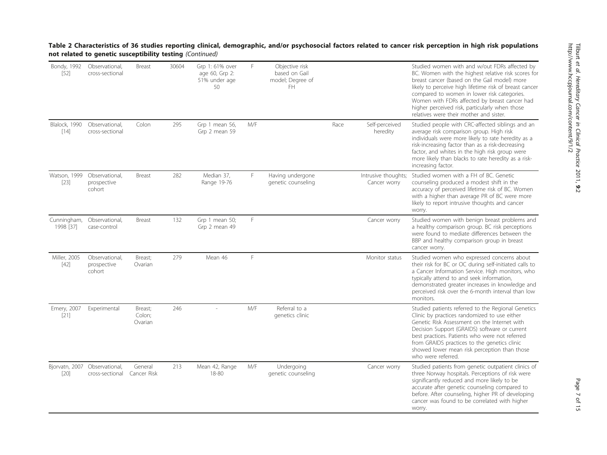| Bondy, 1992<br>$[52]$    | Observational.<br>cross-sectional                    | Breast                       | 30604 | Grp 1: 61% over<br>age 60, Grp 2:<br>51% under age<br>50 | F   | Objective risk<br>based on Gail<br>model; Degree of<br>FH. |      |                                     | Studied women with and w/out FDRs affected by<br>BC. Women with the highest relative risk scores for<br>breast cancer (based on the Gail model) more<br>likely to perceive high lifetime risk of breast cancer<br>compared to women in lower risk categories.<br>Women with FDRs affected by breast cancer had<br>higher perceived risk, particularly when those<br>relatives were their mother and sister. |
|--------------------------|------------------------------------------------------|------------------------------|-------|----------------------------------------------------------|-----|------------------------------------------------------------|------|-------------------------------------|-------------------------------------------------------------------------------------------------------------------------------------------------------------------------------------------------------------------------------------------------------------------------------------------------------------------------------------------------------------------------------------------------------------|
| Blalock, 1990<br>$[14]$  | Observational.<br>cross-sectional                    | Colon                        | 295   | Grp 1 mean 56,<br>Grp 2 mean 59                          | M/F |                                                            | Race | Self-perceived<br>heredity          | Studied people with CRC-affected siblings and an<br>average risk comparison group. High risk<br>individuals were more likely to rate heredity as a<br>risk-increasing factor than as a risk-decreasing<br>factor, and whites in the high risk group were<br>more likely than blacks to rate heredity as a risk-<br>increasing factor.                                                                       |
| $[23]$                   | Watson, 1999 Observational,<br>prospective<br>cohort | Breast                       | 282   | Median 37,<br>Range 19-76                                | F.  | Having undergone<br>genetic counseling                     |      | Intrusive thoughts;<br>Cancer worry | Studied women with a FH of BC. Genetic<br>counseling produced a modest shift in the<br>accuracy of perceived lifetime risk of BC. Women<br>with a higher than average PR of BC were more<br>likely to report intrusive thoughts and cancer<br>worry.                                                                                                                                                        |
| Cunningham,<br>1998 [37] | Observational,<br>case-control                       | Breast                       | 132   | Grp 1 mean 50;<br>Grp 2 mean 49                          | F.  |                                                            |      | Cancer worry                        | Studied women with benign breast problems and<br>a healthy comparison group. BC risk perceptions<br>were found to mediate differences between the<br>BBP and healthy comparison group in breast<br>cancer worry.                                                                                                                                                                                            |
| Miller, 2005<br>$[42]$   | Observational.<br>prospective<br>cohort              | Breast:<br>Ovarian           | 279   | Mean 46                                                  | E   |                                                            |      | Monitor status                      | Studied women who expressed concerns about<br>their risk for BC or OC during self-initiated calls to<br>a Cancer Information Service. High monitors, who<br>typically attend to and seek information,<br>demonstrated greater increases in knowledge and<br>perceived risk over the 6-month interval than low<br>monitors.                                                                                  |
| Emery, 2007<br>$[21]$    | Experimental                                         | Breast;<br>Colon;<br>Ovarian | 246   | ÷                                                        | M/F | Referral to a<br>genetics clinic                           |      |                                     | Studied patients referred to the Regional Genetics<br>Clinic by practices randomized to use either<br>Genetic Risk Assessment on the Internet with<br>Decision Support (GRAIDS) software or current<br>best practices. Patients who were not referred<br>from GRAIDS practices to the genetics clinic<br>showed lower mean risk perception than those<br>who were referred.                                 |
| $[20]$                   | Bjorvatn, 2007 Observational,<br>cross-sectional     | General<br>Cancer Risk       | 213   | Mean 42, Range<br>18-80                                  | M/F | Undergoing<br>genetic counseling                           |      | Cancer worry                        | Studied patients from genetic outpatient clinics of<br>three Norway hospitals. Perceptions of risk were<br>significantly reduced and more likely to be<br>accurate after genetic counseling compared to<br>before. After counseling, higher PR of developing<br>cancer was found to be correlated with higher<br>worry.                                                                                     |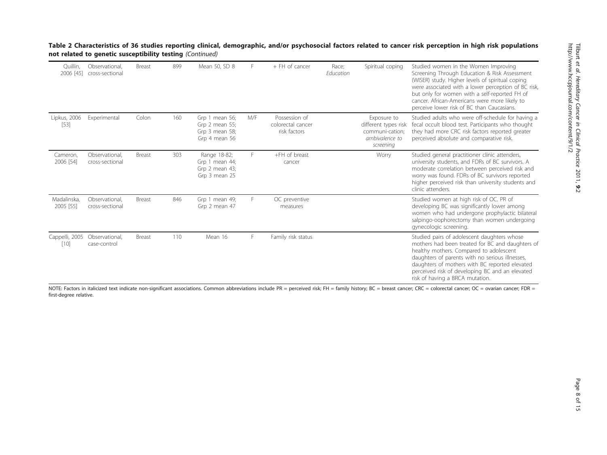| Ouillin.<br>2006 [45]    | Observational.<br>cross-sectional | Breast | 899 | Mean 50, SD 8                                                       | F.  | $+$ FH of cancer                                   | Race;<br>Fducation | Spiritual coping                                                                      | Studied women in the Women Improving<br>Screening Through Education & Risk Assessment<br>(WISER) study. Higher levels of spiritual coping<br>were associated with a lower perception of BC risk,<br>but only for women with a self-reported FH of<br>cancer. African-Americans were more likely to<br>perceive lower risk of BC than Caucasians. |
|--------------------------|-----------------------------------|--------|-----|---------------------------------------------------------------------|-----|----------------------------------------------------|--------------------|---------------------------------------------------------------------------------------|--------------------------------------------------------------------------------------------------------------------------------------------------------------------------------------------------------------------------------------------------------------------------------------------------------------------------------------------------|
| Lipkus, 2006<br>$[53]$   | Experimental                      | Colon  | 160 | Grp 1 mean 56;<br>Grp 2 mean 55;<br>Grp 3 mean 58;<br>Grp 4 mean 56 | M/F | Possession of<br>colorectal cancer<br>risk factors |                    | Exposure to<br>different types risk<br>communi-cation:<br>ambivalence to<br>screening | Studied adults who were off-schedule for having a<br>fecal occult blood test. Participants who thought<br>they had more CRC risk factors reported greater<br>perceived absolute and comparative risk.                                                                                                                                            |
| Cameron.<br>2006 [54]    | Observational.<br>cross-sectional | Breast | 303 | Range 18-82;<br>Grp 1 mean 44;<br>Grp 2 mean 43;<br>Grp 3 mean 25   | F.  | +FH of breast<br>cancer                            |                    | Worry                                                                                 | Studied general practitioner clinic attenders,<br>university students, and FDRs of BC survivors. A<br>moderate correlation between perceived risk and<br>worry was found. FDRs of BC survivors reported<br>higher perceived risk than university students and<br>clinic attenders.                                                               |
| Madalinska,<br>2005 [55] | Observational,<br>cross-sectional | Breast | 846 | Grp 1 mean 49;<br>Grp 2 mean 47                                     | F.  | OC preventive<br>measures                          |                    |                                                                                       | Studied women at high risk of OC. PR of<br>developing BC was significantly lower among<br>women who had undergone prophylactic bilateral<br>salpingo-oophorectomy than women undergoing<br>gynecologic screening.                                                                                                                                |
| Cappelli, 2005<br>[10]   | Observational,<br>case-control    | Breast | 110 | Mean 16                                                             | F.  | Family risk status                                 |                    |                                                                                       | Studied pairs of adolescent daughters whose<br>mothers had been treated for BC and daughters of<br>healthy mothers. Compared to adolescent<br>daughters of parents with no serious illnesses,<br>daughters of mothers with BC reported elevated<br>perceived risk of developing BC and an elevated<br>risk of having a BRCA mutation.            |

NOTE: Factors in italicized text indicate non-significant associations. Common abbreviations include PR = perceived risk; FH = family history; BC = breast cancer; CRC = colorectal cancer; OC = ovarian cancer; FDR = first-degree relative.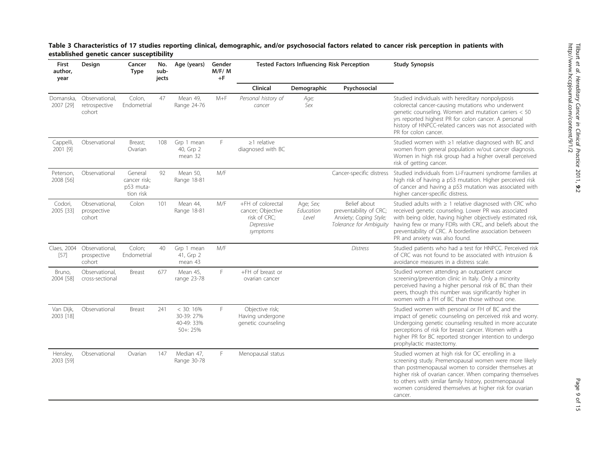| First<br>author,<br>year | Design                                    | Cancer<br>Type                                    | No.<br>sub-<br>jects | Age (years)                                         | Gender<br>M/F/M<br>$+F$ |                                                                                  |                                 | <b>Tested Factors Influencing Risk Perception</b>                                           | <b>Study Synopsis</b>                                                                                                                                                                                                                                                                                                                                      |
|--------------------------|-------------------------------------------|---------------------------------------------------|----------------------|-----------------------------------------------------|-------------------------|----------------------------------------------------------------------------------|---------------------------------|---------------------------------------------------------------------------------------------|------------------------------------------------------------------------------------------------------------------------------------------------------------------------------------------------------------------------------------------------------------------------------------------------------------------------------------------------------------|
|                          |                                           |                                                   |                      |                                                     |                         | <b>Clinical</b>                                                                  | Demographic                     | Psychosocial                                                                                |                                                                                                                                                                                                                                                                                                                                                            |
| Domanska,<br>2007 [29]   | Observational,<br>retrospective<br>cohort | Colon,<br>Endometrial                             | 47                   | Mean 49,<br>Range 24-76                             | $M + F$                 | Personal history of<br>cancer                                                    | Age;<br>Sex                     |                                                                                             | Studied individuals with hereditary nonpolyposis<br>colorectal cancer-causing mutations who underwent<br>genetic counseling. Women and mutation carriers < 50<br>yrs reported highest PR for colon cancer. A personal<br>history of HNPCC-related cancers was not associated with<br>PR for colon cancer.                                                  |
| Cappelli,<br>2001 [9]    | Observational                             | Breast;<br>Ovarian                                | 108                  | Grp 1 mean<br>40, Grp 2<br>mean 32                  | F.                      | $\geq$ 1 relative<br>diagnosed with BC                                           |                                 |                                                                                             | Studied women with ≥1 relative diagnosed with BC and<br>women from general population w/out cancer diagnosis.<br>Women in high risk group had a higher overall perceived<br>risk of getting cancer.                                                                                                                                                        |
| Peterson,<br>2008 [56]   | Observational                             | General<br>cancer risk;<br>p53 muta-<br>tion risk | 92                   | Mean 50,<br>Range 18-81                             | M/F                     |                                                                                  |                                 | Cancer-specific distress                                                                    | Studied individuals from Li-Fraumeni syndrome families at<br>high risk of having a p53 mutation. Higher perceived risk<br>of cancer and having a p53 mutation was associated with<br>higher cancer-specific distress.                                                                                                                                      |
| Codori,<br>2005 [33]     | Observational.<br>prospective<br>cohort   | Colon                                             | 101                  | Mean 44.<br>Range 18-81                             | M/F                     | +FH of colorectal<br>cancer; Objective<br>risk of CRC:<br>Depressive<br>symptoms | Age; Sex;<br>Education<br>Level | Belief about<br>preventability of CRC;<br>Anxiety; Coping Style;<br>Tolerance for Ambiguity | Studied adults with $\geq 1$ relative diagnosed with CRC who<br>received genetic counseling. Lower PR was associated<br>with being older, having higher objectively estimated risk,<br>having few or many FDRs with CRC, and beliefs about the<br>preventability of CRC. A borderline association between<br>PR and anxiety was also found.                |
| Claes, 2004<br>$[57]$    | Observational,<br>prospective<br>cohort   | Colon;<br>Endometrial                             | 40                   | Grp 1 mean<br>41, Grp 2<br>mean 43                  | M/F                     |                                                                                  |                                 | <b>Distress</b>                                                                             | Studied patients who had a test for HNPCC. Perceived risk<br>of CRC was not found to be associated with intrusion &<br>avoidance measures in a distress scale.                                                                                                                                                                                             |
| Bruno,<br>2004 [58]      | Observational,<br>cross-sectional         | Breast                                            | 677                  | Mean 45,<br>range 23-78                             | F                       | +FH of breast or<br>ovarian cancer                                               |                                 |                                                                                             | Studied women attending an outpatient cancer<br>screening/prevention clinic in Italy. Only a minority<br>perceived having a higher personal risk of BC than their<br>peers, though this number was significantly higher in<br>women with a FH of BC than those without one.                                                                                |
| Van Dijk,<br>2003 [18]   | Observational                             | <b>Breast</b>                                     | 241                  | $<$ 30: 16%<br>30-39: 27%<br>40-49: 33%<br>50+: 25% | E                       | Objective risk;<br>Having undergone<br>genetic counseling                        |                                 |                                                                                             | Studied women with personal or FH of BC and the<br>impact of genetic counseling on perceived risk and worry.<br>Undergoing genetic counseling resulted in more accurate<br>perceptions of risk for breast cancer. Women with a<br>higher PR for BC reported stronger intention to undergo<br>prophylactic mastectomy.                                      |
| Hensley,<br>2003 [59]    | Observational                             | Ovarian                                           | 147                  | Median 47,<br>Range 30-78                           | F                       | Menopausal status                                                                |                                 |                                                                                             | Studied women at high risk for OC enrolling in a<br>screening study. Premenopausal women were more likely<br>than postmenopausal women to consider themselves at<br>higher risk of ovarian cancer. When comparing themselves<br>to others with similar family history, postmenopausal<br>women considered themselves at higher risk for ovarian<br>cancer. |

# <span id="page-8-0"></span>Table 3 Characteristics of 17 studies reporting clinical, demographic, and/or psychosocial factors related to cancer risk perception in patients with established genetic cancer susceptibility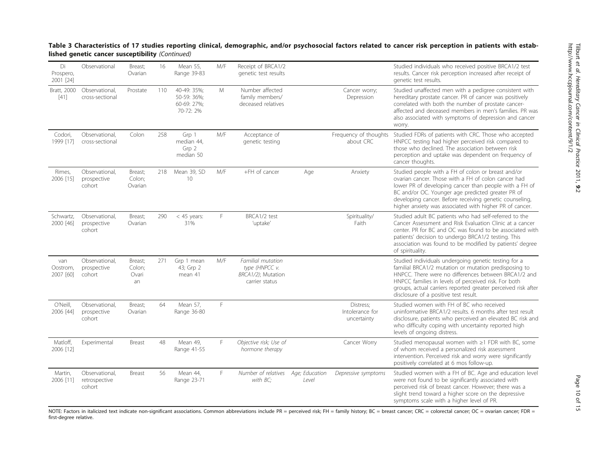| Di<br>Prospero,<br>2001 [24] | Observational                             | Breast;<br>Ovarian               | 16  | Mean 55,<br>Range 39-83                                | M/F | Receipt of BRCA1/2<br>genetic test results                                  |                         |                                             | Studied individuals who received positive BRCA1/2 test<br>results. Cancer risk perception increased after receipt of<br>genetic test results.                                                                                                                                                                                                  |
|------------------------------|-------------------------------------------|----------------------------------|-----|--------------------------------------------------------|-----|-----------------------------------------------------------------------------|-------------------------|---------------------------------------------|------------------------------------------------------------------------------------------------------------------------------------------------------------------------------------------------------------------------------------------------------------------------------------------------------------------------------------------------|
| Bratt, 2000<br>$[41]$        | Observational.<br>cross-sectional         | Prostate                         | 110 | 40-49: 35%;<br>50-59: 36%:<br>60-69: 27%;<br>70-72: 2% | M   | Number affected<br>family members/<br>deceased relatives                    |                         | Cancer worry;<br>Depression                 | Studied unaffected men with a pedigree consistent with<br>hereditary prostate cancer. PR of cancer was positively<br>correlated with both the number of prostate cancer-<br>affected and deceased members in men's families. PR was<br>also associated with symptoms of depression and cancer<br>worry.                                        |
| Codori,<br>1999 [17]         | Observational,<br>cross-sectional         | Colon                            | 258 | Grp 1<br>median 44,<br>Grp 2<br>median 50              | M/F | Acceptance of<br>genetic testing                                            |                         | Frequency of thoughts<br>about CRC          | Studied FDRs of patients with CRC. Those who accepted<br>HNPCC testing had higher perceived risk compared to<br>those who declined. The association between risk<br>perception and uptake was dependent on frequency of<br>cancer thoughts.                                                                                                    |
| Rimes,<br>2006 [15]          | Observational,<br>prospective<br>cohort   | Breast;<br>Colon;<br>Ovarian     | 218 | Mean 39, SD<br>10                                      | M/F | +FH of cancer                                                               | Age                     | Anxiety                                     | Studied people with a FH of colon or breast and/or<br>ovarian cancer. Those with a FH of colon cancer had<br>lower PR of developing cancer than people with a FH of<br>BC and/or OC. Younger age predicted greater PR of<br>developing cancer. Before receiving genetic counseling,<br>higher anxiety was associated with higher PR of cancer. |
| Schwartz,<br>2000 [46]       | Observational.<br>prospective<br>cohort   | Breast;<br>Ovarian               | 290 | $<$ 45 years:<br>31%                                   | F   | BRCA1/2 test<br>'uptake'                                                    |                         | Spirituality/<br>Faith                      | Studied adult BC patients who had self-referred to the<br>Cancer Assessment and Risk Evaluation Clinic at a cancer<br>center. PR for BC and OC was found to be associated with<br>patients' decision to undergo BRCA1/2 testing. This<br>association was found to be modified by patients' degree<br>of spirituality.                          |
| van<br>Oostrom,<br>2007 [60] | Observational,<br>prospective<br>cohort   | Breast;<br>Colon;<br>Ovari<br>an | 271 | Grp 1 mean<br>43; Grp 2<br>mean 41                     | M/F | Familial mutation<br>type (HNPCC v.<br>BRCA1/2); Mutation<br>carrier status |                         |                                             | Studied individuals undergoing genetic testing for a<br>familial BRCA1/2 mutation or mutation predisposing to<br>HNPCC. There were no differences between BRCA1/2 and<br>HNPCC families in levels of perceived risk. For both<br>groups, actual carriers reported greater perceived risk after<br>disclosure of a positive test result.        |
| O'Neill,<br>2006 [44]        | Observational,<br>prospective<br>cohort   | Breast;<br>Ovarian               | 64  | Mean 57,<br>Range 36-80                                | F   |                                                                             |                         | Distress:<br>Intolerance for<br>uncertainty | Studied women with FH of BC who received<br>uninformative BRCA1/2 results, 6 months after test result<br>disclosure, patients who perceived an elevated BC risk and<br>who difficulty coping with uncertainty reported high<br>levels of ongoing distress.                                                                                     |
| Matloff,<br>2006 [12]        | Experimental                              | Breast                           | 48  | Mean 49,<br>Range 41-55                                | F   | Objective risk; Use of<br>hormone therapy                                   |                         | Cancer Worry                                | Studied menopausal women with ≥1 FDR with BC, some<br>of whom received a personalized risk assessment<br>intervention. Perceived risk and worry were significantly<br>positively correlated at 6 mos follow-up.                                                                                                                                |
| Martin,<br>2006 [11]         | Observational.<br>retrospective<br>cohort | Breast                           | 56  | Mean 44.<br>Range 23-71                                | F   | Number of relatives<br>with BC:                                             | Age; Education<br>Level | Depressive symptoms                         | Studied women with a FH of BC. Age and education level<br>were not found to be significantly associated with<br>perceived risk of breast cancer. However; there was a<br>slight trend toward a higher score on the depressive<br>symptoms scale with a higher level of PR.                                                                     |

#### Table 3 Characteristics of 17 studies reporting clinical, demographic, and/or psychosocial factors related to cancer risk perception in patients with established genetic cancer susceptibility (Continued)

NOTE: Factors in italicized text indicate non-significant associations. Common abbreviations include PR = perceived risk; FH = family history; BC = breast cancer; CRC = colorectal cancer; OC = ovarian cancer; FDR = first-degree relative.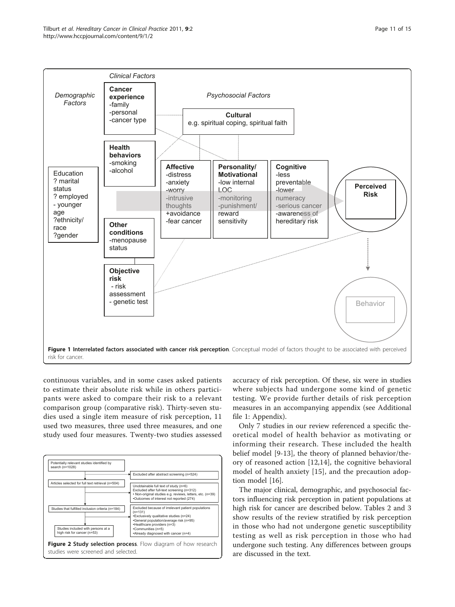<span id="page-10-0"></span>

continuous variables, and in some cases asked patients to estimate their absolute risk while in others participants were asked to compare their risk to a relevant comparison group (comparative risk). Thirty-seven studies used a single item measure of risk perception, 11 used two measures, three used three measures, and one study used four measures. Twenty-two studies assessed



accuracy of risk perception. Of these, six were in studies where subjects had undergone some kind of genetic testing. We provide further details of risk perception measures in an accompanying appendix (see Additional file [1](#page-13-0): Appendix).

Only 7 studies in our review referenced a specific theoretical model of health behavior as motivating or informing their research. These included the health belief model [\[9](#page-13-0)-[13\]](#page-13-0), the theory of planned behavior/theory of reasoned action [\[12](#page-13-0),[14\]](#page-13-0), the cognitive behavioral model of health anxiety [[15\]](#page-13-0), and the precaution adoption model [[16\]](#page-13-0).

The major clinical, demographic, and psychosocial factors influencing risk perception in patient populations at high risk for cancer are described below. Tables [2](#page-3-0) and [3](#page-8-0) show results of the review stratified by risk perception in those who had not undergone genetic susceptibility testing as well as risk perception in those who had undergone such testing. Any differences between groups are discussed in the text.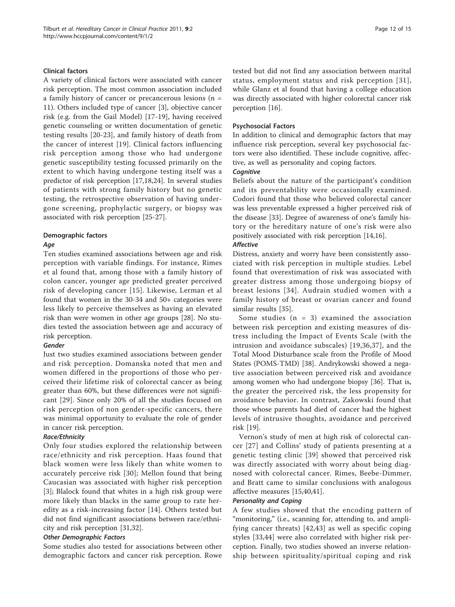#### Clinical factors

A variety of clinical factors were associated with cancer risk perception. The most common association included a family history of cancer or precancerous lesions (n = 11). Others included type of cancer [[3](#page-13-0)], objective cancer risk (e.g. from the Gail Model) [[17](#page-13-0)-[19\]](#page-13-0), having received genetic counseling or written documentation of genetic testing results [\[20](#page-13-0)-[23\]](#page-13-0), and family history of death from the cancer of interest [[19\]](#page-13-0). Clinical factors influencing risk perception among those who had undergone genetic susceptibility testing focussed primarily on the extent to which having undergone testing itself was a predictor of risk perception [[17,18,](#page-13-0)[24\]](#page-14-0). In several studies of patients with strong family history but no genetic testing, the retrospective observation of having undergone screening, prophylactic surgery, or biopsy was associated with risk perception [[25-27\]](#page-14-0).

#### Demographic factors

#### Age

Ten studies examined associations between age and risk perception with variable findings. For instance, Rimes et al found that, among those with a family history of colon cancer, younger age predicted greater perceived risk of developing cancer [[15](#page-13-0)]. Likewise, Lerman et al found that women in the 30-34 and 50+ categories were less likely to perceive themselves as having an elevated risk than were women in other age groups [\[28\]](#page-14-0). No studies tested the association between age and accuracy of risk perception.

#### Gender

Just two studies examined associations between gender and risk perception. Domanska noted that men and women differed in the proportions of those who perceived their lifetime risk of colorectal cancer as being greater than 60%, but these differences were not significant [[29\]](#page-14-0). Since only 20% of all the studies focused on risk perception of non gender-specific cancers, there was minimal opportunity to evaluate the role of gender in cancer risk perception.

#### Race/Ethnicity

Only four studies explored the relationship between race/ethnicity and risk perception. Haas found that black women were less likely than white women to accurately perceive risk [[30](#page-14-0)]; Mellon found that being Caucasian was associated with higher risk perception [[3\]](#page-13-0); Blalock found that whites in a high risk group were more likely than blacks in the same group to rate heredity as a risk-increasing factor [[14](#page-13-0)]. Others tested but did not find significant associations between race/ethnicity and risk perception [\[31,32](#page-14-0)].

#### Other Demographic Factors

Some studies also tested for associations between other demographic factors and cancer risk perception. Rowe tested but did not find any association between marital status, employment status and risk perception [[31\]](#page-14-0), while Glanz et al found that having a college education was directly associated with higher colorectal cancer risk perception [\[16](#page-13-0)].

#### Psychosocial Factors

In addition to clinical and demographic factors that may influence risk perception, several key psychosocial factors were also identified. These include cognitive, affective, as well as personality and coping factors.

#### **Cognitive**

Beliefs about the nature of the participant's condition and its preventability were occasionally examined. Codori found that those who believed colorectal cancer was less preventable expressed a higher perceived risk of the disease [\[33](#page-14-0)]. Degree of awareness of one's family history or the hereditary nature of one's risk were also positively associated with risk perception [\[14,16\]](#page-13-0).

#### Affective

Distress, anxiety and worry have been consistently associated with risk perception in multiple studies. Lebel found that overestimation of risk was associated with greater distress among those undergoing biopsy of breast lesions [[34\]](#page-14-0). Audrain studied women with a family history of breast or ovarian cancer and found similar results [[35](#page-14-0)].

Some studies  $(n = 3)$  examined the association between risk perception and existing measures of distress including the Impact of Events Scale (with the intrusion and avoidance subscales) [[19,](#page-13-0)[36](#page-14-0),[37\]](#page-14-0), and the Total Mood Disturbance scale from the Profile of Mood States (POMS-TMD) [[38](#page-14-0)]. Andrykowski showed a negative association between perceived risk and avoidance among women who had undergone biopsy [[36](#page-14-0)]. That is, the greater the perceived risk, the less propensity for avoidance behavior. In contrast, Zakowski found that those whose parents had died of cancer had the highest levels of intrusive thoughts, avoidance and perceived risk [[19\]](#page-13-0).

Vernon's study of men at high risk of colorectal cancer [[27](#page-14-0)] and Collins' study of patients presenting at a genetic testing clinic [[39\]](#page-14-0) showed that perceived risk was directly associated with worry about being diagnosed with colorectal cancer. Rimes, Beebe-Dimmer, and Bratt came to similar conclusions with analogous affective measures [\[15](#page-13-0)[,40,41](#page-14-0)].

#### Personality and Coping

A few studies showed that the encoding pattern of "monitoring," (i.e., scanning for, attending to, and amplifying cancer threats) [\[42](#page-14-0),[43](#page-14-0)] as well as specific coping styles [[33,44](#page-14-0)] were also correlated with higher risk perception. Finally, two studies showed an inverse relationship between spirituality/spiritual coping and risk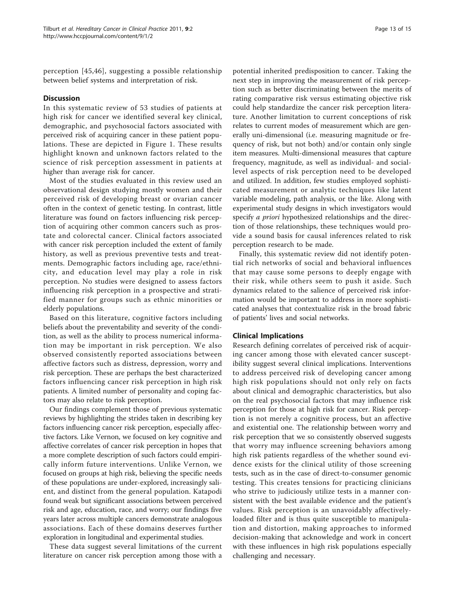perception [[45,46\]](#page-14-0), suggesting a possible relationship between belief systems and interpretation of risk.

#### **Discussion**

In this systematic review of 53 studies of patients at high risk for cancer we identified several key clinical, demographic, and psychosocial factors associated with perceived risk of acquiring cancer in these patient populations. These are depicted in Figure [1.](#page-10-0) These results highlight known and unknown factors related to the science of risk perception assessment in patients at higher than average risk for cancer.

Most of the studies evaluated in this review used an observational design studying mostly women and their perceived risk of developing breast or ovarian cancer often in the context of genetic testing. In contrast, little literature was found on factors influencing risk perception of acquiring other common cancers such as prostate and colorectal cancer. Clinical factors associated with cancer risk perception included the extent of family history, as well as previous preventive tests and treatments. Demographic factors including age, race/ethnicity, and education level may play a role in risk perception. No studies were designed to assess factors influencing risk perception in a prospective and stratified manner for groups such as ethnic minorities or elderly populations.

Based on this literature, cognitive factors including beliefs about the preventability and severity of the condition, as well as the ability to process numerical information may be important in risk perception. We also observed consistently reported associations between affective factors such as distress, depression, worry and risk perception. These are perhaps the best characterized factors influencing cancer risk perception in high risk patients. A limited number of personality and coping factors may also relate to risk perception.

Our findings complement those of previous systematic reviews by highlighting the strides taken in describing key factors influencing cancer risk perception, especially affective factors. Like Vernon, we focused on key cognitive and affective correlates of cancer risk perception in hopes that a more complete description of such factors could empirically inform future interventions. Unlike Vernon, we focused on groups at high risk, believing the specific needs of these populations are under-explored, increasingly salient, and distinct from the general population. Katapodi found weak but significant associations between perceived risk and age, education, race, and worry; our findings five years later across multiple cancers demonstrate analogous associations. Each of these domains deserves further exploration in longitudinal and experimental studies.

These data suggest several limitations of the current literature on cancer risk perception among those with a

potential inherited predisposition to cancer. Taking the next step in improving the measurement of risk perception such as better discriminating between the merits of rating comparative risk versus estimating objective risk could help standardize the cancer risk perception literature. Another limitation to current conceptions of risk relates to current modes of measurement which are generally uni-dimensional (i.e. measuring magnitude or frequency of risk, but not both) and/or contain only single item measures. Multi-dimensional measures that capture frequency, magnitude, as well as individual- and sociallevel aspects of risk perception need to be developed and utilized. In addition, few studies employed sophisticated measurement or analytic techniques like latent variable modeling, path analysis, or the like. Along with experimental study designs in which investigators would specify *a priori* hypothesized relationships and the direction of those relationships, these techniques would provide a sound basis for causal inferences related to risk perception research to be made.

Finally, this systematic review did not identify potential rich networks of social and behavioral influences that may cause some persons to deeply engage with their risk, while others seem to push it aside. Such dynamics related to the salience of perceived risk information would be important to address in more sophisticated analyses that contextualize risk in the broad fabric of patients' lives and social networks.

#### Clinical Implications

Research defining correlates of perceived risk of acquiring cancer among those with elevated cancer susceptibility suggest several clinical implications. Interventions to address perceived risk of developing cancer among high risk populations should not only rely on facts about clinical and demographic characteristics, but also on the real psychosocial factors that may influence risk perception for those at high risk for cancer. Risk perception is not merely a cognitive process, but an affective and existential one. The relationship between worry and risk perception that we so consistently observed suggests that worry may influence screening behaviors among high risk patients regardless of the whether sound evidence exists for the clinical utility of those screening tests, such as in the case of direct-to-consumer genomic testing. This creates tensions for practicing clinicians who strive to judiciously utilize tests in a manner consistent with the best available evidence and the patient's values. Risk perception is an unavoidably affectivelyloaded filter and is thus quite susceptible to manipulation and distortion, making approaches to informed decision-making that acknowledge and work in concert with these influences in high risk populations especially challenging and necessary.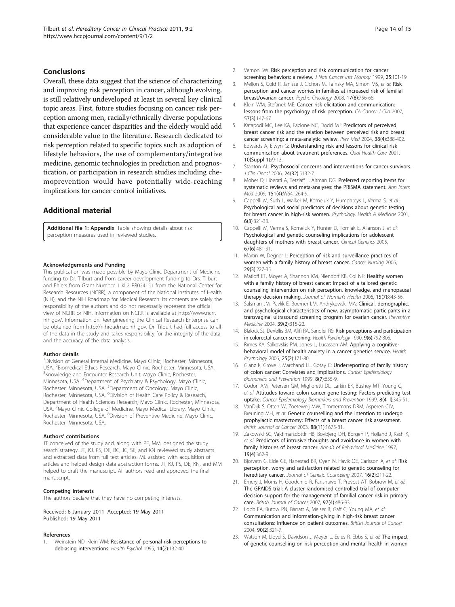#### <span id="page-13-0"></span>Conclusions

Overall, these data suggest that the science of characterizing and improving risk perception in cancer, although evolving, is still relatively undeveloped at least in several key clinical topic areas. First, future studies focusing on cancer risk perception among men, racially/ethnically diverse populations that experience cancer disparities and the elderly would add considerable value to the literature. Research dedicated to risk perception related to specific topics such as adoption of lifestyle behaviors, the use of complementary/integrative medicine, genomic technologies in prediction and prognostication, or participation in research studies including chemoprevention would have potentially wide-reaching implications for cancer control initiatives.

#### Additional material

[Additional file 1: A](http://www.biomedcentral.com/content/supplementary/1897-4287-9-2-S1.DOC)ppendix. Table showing details about risk perception measures used in reviewed studies.

#### Acknowledgements and Funding

This publication was made possible by Mayo Clinic Department of Medicine funding to Dr. Tilburt and from career development funding to Drs. Tilburt and Ehlers from Grant Number 1 KL2 RR024151 from the National Center for Research Resources (NCRR), a component of the National Institutes of Health (NIH), and the NIH Roadmap for Medical Research. Its contents are solely the responsibility of the authors and do not necessarily represent the official view of NCRR or NIH. Information on NCRR is available at [http://www.ncrr.](http://www.ncrr.nih.gov/) [nih.gov/](http://www.ncrr.nih.gov/). Information on Reengineering the Clinical Research Enterprise can be obtained from [http://nihroadmap.nih.gov.](http://nihroadmap.nih.gov) Dr. Tilburt had full access to all of the data in the study and takes responsibility for the integrity of the data and the accuracy of the data analysis.

#### Author details

<sup>1</sup> Division of General Internal Medicine, Mayo Clinic, Rochester, Minnesota, USA. <sup>2</sup>Biomedical Ethics Research, Mayo Clinic, Rochester, Minnesota, USA.<br><sup>3</sup>Knowledge and Encounter Research Unit, Mayo Clinic, Rochester. <sup>3</sup> Knowledge and Encounter Research Unit, Mayo Clinic, Rochester, Minnesota, USA. <sup>4</sup>Department of Psychiatry & Psychology, Mayo Clinic, Rochester, Minnesota, USA. <sup>5</sup>Department of Oncology, Mayo Clinic, Rochester, Minnesota, USA. <sup>6</sup>Division of Health Care Policy & Research, Department of Health Sciences Research, Mayo Clinic, Rochester, Minnesota, USA. <sup>7</sup>Mayo Clinic College of Medicine, Mayo Medical Library, Mayo Clinic, Rochester, Minnesota, USA. <sup>8</sup>Division of Preventive Medicine, Mayo Clinic, Rochester, Minnesota, USA.

#### Authors' contributions

JT conceived of the study and, along with PE, MM, designed the study search strategy. JT, KJ, PS, DE, BC, JC, SE, and KN reviewed study abstracts and extracted data from full text articles. ML assisted with acquisition of articles and helped design data abstraction forms. JT, KJ, PS, DE, KN, and MM helped to draft the manuscript. All authors read and approved the final manuscript.

#### Competing interests

The authors declare that they have no competing interests.

Received: 6 January 2011 Accepted: 19 May 2011 Published: 19 May 2011

#### References

Weinstein ND, Klein WM: [Resistance of personal risk perceptions to](http://www.ncbi.nlm.nih.gov/pubmed/7789348?dopt=Abstract) [debiasing interventions.](http://www.ncbi.nlm.nih.gov/pubmed/7789348?dopt=Abstract) Health Psychol 1995, 14(2):132-40.

- 2. Vernon SW: [Risk perception and risk communication for cancer](http://www.ncbi.nlm.nih.gov/pubmed/10854465?dopt=Abstract) [screening behaviors: a review.](http://www.ncbi.nlm.nih.gov/pubmed/10854465?dopt=Abstract) J Natl Cancer Inst Monogr 1999, 25:101-19.
- 3. Mellon S, Gold R, Janisse J, Cichon M, Tainsky MA, Simon MS, et al: [Risk](http://www.ncbi.nlm.nih.gov/pubmed/18613300?dopt=Abstract) [perception and cancer worries in families at increased risk of familial](http://www.ncbi.nlm.nih.gov/pubmed/18613300?dopt=Abstract) [breast/ovarian cancer.](http://www.ncbi.nlm.nih.gov/pubmed/18613300?dopt=Abstract) Psycho-Oncology 2008, 17(8):756-66.
- Klein WM, Stefanek ME: [Cancer risk elicitation and communication:](http://www.ncbi.nlm.nih.gov/pubmed/17507441?dopt=Abstract) [lessons from the psychology of risk perception.](http://www.ncbi.nlm.nih.gov/pubmed/17507441?dopt=Abstract) CA Cancer J Clin 2007, 57(3):147-67.
- 5. Katapodi MC, Lee KA, Facione NC, Dodd MJ: [Predictors of perceived](http://www.ncbi.nlm.nih.gov/pubmed/15020172?dopt=Abstract) [breast cancer risk and the relation between perceived risk and breast](http://www.ncbi.nlm.nih.gov/pubmed/15020172?dopt=Abstract) [cancer screening: a meta-analytic review.](http://www.ncbi.nlm.nih.gov/pubmed/15020172?dopt=Abstract) Prev Med 2004, 38(4):388-402.
- 6. Edwards A, Elwyn G: [Understanding risk and lessons for clinical risk](http://www.ncbi.nlm.nih.gov/pubmed/11533431?dopt=Abstract) [communication about treatment preferences.](http://www.ncbi.nlm.nih.gov/pubmed/11533431?dopt=Abstract) Qual Health Care 2001, 10(Suppl 1):i9-13.
- 7. Stanton AL: [Psychosocial concerns and interventions for cancer survivors.](http://www.ncbi.nlm.nih.gov/pubmed/17093275?dopt=Abstract) J Clin Oncol 2006, 24(32):5132-7.
- 8. Moher D, Liberati A, Tetzlaff J, Altman DG: Preferred reporting items for systematic reviews and meta-analyses: the PRISMA statement. Ann Intern Med 2009, 151(4):W64, 264-9.
- 9. Cappelli M, Surh L, Walker M, Korneluk Y, Humphreys L, Verma S, et al: [Psychological and social predictors of decisions about genetic testing](http://www.ncbi.nlm.nih.gov/pubmed/21598377?dopt=Abstract) [for breast cancer in high-risk women.](http://www.ncbi.nlm.nih.gov/pubmed/21598377?dopt=Abstract) Psychology, Health & Medicine 2001, 6(3):321-33.
- 10. Cappelli M, Verma S, Korneluk Y, Hunter D, Tomiak E, Allanson J, et al: [Psychological and genetic counseling implications for adolescent](http://www.ncbi.nlm.nih.gov/pubmed/15857415?dopt=Abstract) [daughters of mothers with breast cancer.](http://www.ncbi.nlm.nih.gov/pubmed/15857415?dopt=Abstract) Clinical Genetics 2005, 67(6):481-91.
- 11. Martin W, Degner L: [Perception of risk and surveillance practices of](http://www.ncbi.nlm.nih.gov/pubmed/16783123?dopt=Abstract) [women with a family history of breast cancer.](http://www.ncbi.nlm.nih.gov/pubmed/16783123?dopt=Abstract) Cancer Nursing 2006, 29(3):227-35.
- 12. Matloff ET, Moyer A, Shannon KM, Niendorf KB, Col NF: [Healthy women](http://www.ncbi.nlm.nih.gov/pubmed/21598432?dopt=Abstract) [with a family history of breast cancer: Impact of a tailored genetic](http://www.ncbi.nlm.nih.gov/pubmed/21598432?dopt=Abstract) [counseling intervention on risk perception, knowledge, and menopausal](http://www.ncbi.nlm.nih.gov/pubmed/21598432?dopt=Abstract) [therapy decision making.](http://www.ncbi.nlm.nih.gov/pubmed/21598432?dopt=Abstract) Journal of Women's Health 2006, 15(7):843-56.
- 13. Salsman JM, Pavlik E, Boerner LM, Andrykowski MA: [Clinical, demographic,](http://www.ncbi.nlm.nih.gov/pubmed/15226040?dopt=Abstract) [and psychological characteristics of new, asymptomatic participants in a](http://www.ncbi.nlm.nih.gov/pubmed/15226040?dopt=Abstract) [transvaginal ultrasound screening program for ovarian cancer.](http://www.ncbi.nlm.nih.gov/pubmed/15226040?dopt=Abstract) Preventive Medicine 2004, 39(2):315-22.
- 14. Blalock SJ, DeVellis BM, Afifi RA, Sandler RS: [Risk perceptions and participation](http://www.ncbi.nlm.nih.gov/pubmed/2286186?dopt=Abstract) [in colorectal cancer screening.](http://www.ncbi.nlm.nih.gov/pubmed/2286186?dopt=Abstract) Health Psychology 1990, 9(6):792-806.
- 15. Rimes KA, Salkovskis PM, Jones L, Lucassen AM: [Applying a cognitive](http://www.ncbi.nlm.nih.gov/pubmed/16569108?dopt=Abstract)[behavioral model of health anxiety in a cancer genetics service.](http://www.ncbi.nlm.nih.gov/pubmed/16569108?dopt=Abstract) Health Psychology 2006, 25(2):171-80.
- 16. Glanz K, Grove J, Marchand LL, Gotay C: Underreporting of family history of colon cancer: Correlates and implications. Cancer Epidemiology Biomarkers and Prevention 1999, 8(7):635-9.
- 17. Codori AM, Petersen GM, Miglioretti DL, Larkin EK, Bushey MT, Young C, et al: Attitudes toward colon cancer gene testing: Factors predicting test uptake. Cancer Epidemiology Biomarkers and Prevention 1999, 8(4 II):345-51.
- 18. VanDijk S, Otten W, Zoeteweij MW, Timmermans DRM, Asperen CJV, Breuning MH, et al: [Genetic counselling and the intention to undergo](http://www.ncbi.nlm.nih.gov/pubmed/12771979?dopt=Abstract) [prophylactic mastectomy: Effects of a breast cancer risk assessment.](http://www.ncbi.nlm.nih.gov/pubmed/12771979?dopt=Abstract) British Journal of Cancer 2003, 88(11):1675-81.
- 19. Zakowski SG, Valdimarsdottir HB, Bovbjerg DH, Borgen P, Holland J, Kash K, et al: [Predictors of intrusive thoughts and avoidance in women with](http://www.ncbi.nlm.nih.gov/pubmed/9706363?dopt=Abstract) [family histories of breast cancer.](http://www.ncbi.nlm.nih.gov/pubmed/9706363?dopt=Abstract) Annals of Behavioral Medicine 1997, 19(4):362-9.
- 20. Bjorvatn C, Eide GE, Hanestad BR, Oyen N, Havik OE, Carlsson A, et al: [Risk](http://www.ncbi.nlm.nih.gov/pubmed/17279329?dopt=Abstract) [perception, worry and satisfaction related to genetic counseling for](http://www.ncbi.nlm.nih.gov/pubmed/17279329?dopt=Abstract) [hereditary cancer.](http://www.ncbi.nlm.nih.gov/pubmed/17279329?dopt=Abstract) Journal of Genetic Counseling 2007, 16(2):211-22.
- 21. Emery J, Morris H, Goodchild R, Fanshawe T, Prevost AT, Bobrow M, et al: [The GRAIDS trial: A cluster randomised controlled trial of computer](http://www.ncbi.nlm.nih.gov/pubmed/17700548?dopt=Abstract) [decision support for the management of familial cancer risk in primary](http://www.ncbi.nlm.nih.gov/pubmed/17700548?dopt=Abstract) [care.](http://www.ncbi.nlm.nih.gov/pubmed/17700548?dopt=Abstract) British Journal of Cancer 2007, 97(4):486-93.
- 22. Lobb EA, Butow PN, Barratt A, Meiser B, Gaff C, Young MA, et al: [Communication and information-giving in high-risk breast cancer](http://www.ncbi.nlm.nih.gov/pubmed/14735171?dopt=Abstract) [consultations: Influence on patient outcomes.](http://www.ncbi.nlm.nih.gov/pubmed/14735171?dopt=Abstract) British Journal of Cancer 2004, 90(2):321-7.
- 23. Watson M, Lloyd S, Davidson J, Meyer L, Eeles R, Ebbs S, et al: [The impact](http://www.ncbi.nlm.nih.gov/pubmed/10070883?dopt=Abstract) [of genetic counselling on risk perception and mental health in women](http://www.ncbi.nlm.nih.gov/pubmed/10070883?dopt=Abstract)